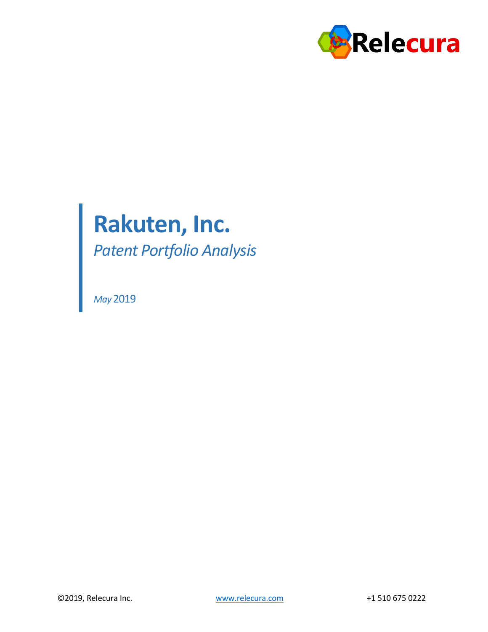

# **Rakuten, Inc.**

*Patent Portfolio Analysis*

*May* 2019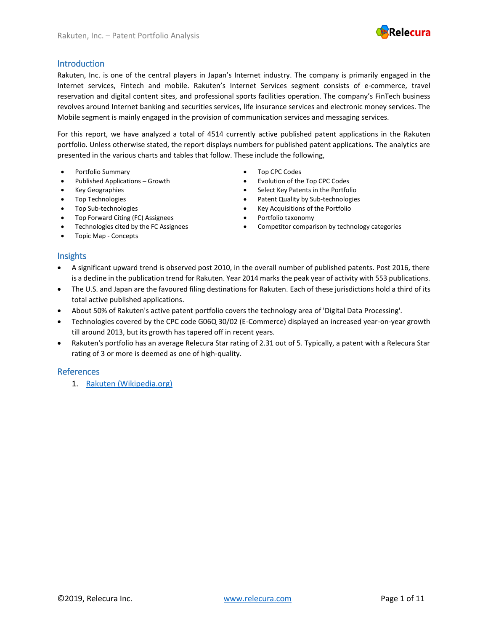

#### Introduction

Rakuten, Inc. is one of the central players in Japan's Internet industry. The company is primarily engaged in the Internet services, Fintech and mobile. Rakuten's Internet Services segment consists of e-commerce, travel reservation and digital content sites, and professional sports facilities operation. The company's FinTech business revolves around Internet banking and securities services, life insurance services and electronic money services. The Mobile segment is mainly engaged in the provision of communication services and messaging services.

For this report, we have analyzed a total of 4514 currently active published patent applications in the Rakuten portfolio. Unless otherwise stated, the report displays numbers for published patent applications. The analytics are presented in the various charts and tables that follow. These include the following,

- Portfolio Summary Top CPC Codes
- 
- Key Geographies
- Top Technologies
- Top Sub-technologies
- Top Forward Citing (FC) Assignees Portfolio taxonomy
- 
- Topic Map Concepts

- Published Applications Growth Evolution of the Top CPC Codes
	- Select Key Patents in the Portfolio
	- Patent Quality by Sub-technologies
	- Key Acquisitions of the Portfolio
	-
- Technologies cited by the FC Assignees Competitor comparison by technology categories

#### **Insights**

- A significant upward trend is observed post 2010, in the overall number of published patents. Post 2016, there is a decline in the publication trend for Rakuten. Year 2014 marks the peak year of activity with 553 publications.
- The U.S. and Japan are the favoured filing destinations for Rakuten. Each of these jurisdictions hold a third of its total active published applications.
- About 50% of Rakuten's active patent portfolio covers the technology area of 'Digital Data Processing'.
- Technologies covered by the CPC code G06Q 30/02 (E-Commerce) displayed an increased year-on-year growth till around 2013, but its growth has tapered off in recent years.
- Rakuten's portfolio has an average Relecura Star rating of 2.31 out of 5. Typically, a patent with a Relecura Star rating of 3 or more is deemed as one of high-quality.

#### References

1. [Rakuten \(Wikipedia.org\)](https://en.wikipedia.org/wiki/Rakuten)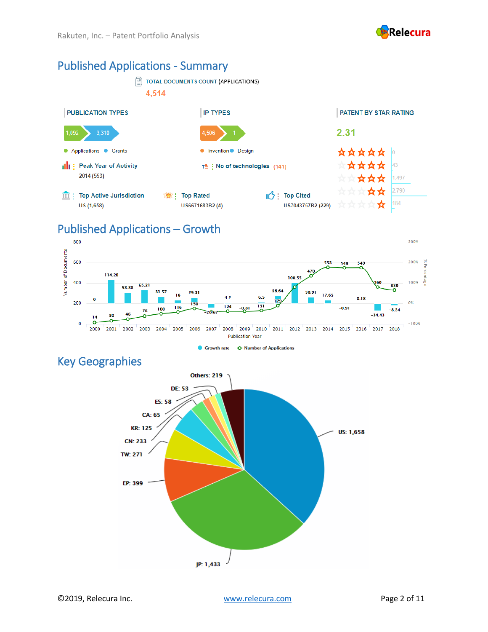

#### Published Applications - Summary



#### Published Applications – Growth



#### Key Geographies

Others: 219 **DE: 53**  $ES: 58$ **CA: 65 KR: 125** US: 1,658 **CN: 233 TW: 271** EP: 399 JP: 1,433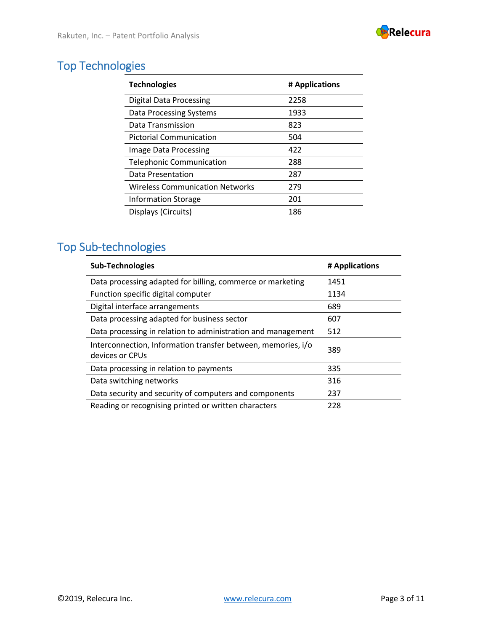

# Top Technologies

| <b>Technologies</b>                    | # Applications |
|----------------------------------------|----------------|
| <b>Digital Data Processing</b>         | 2258           |
| Data Processing Systems                | 1933           |
| Data Transmission                      | 823            |
| <b>Pictorial Communication</b>         | 504            |
| Image Data Processing                  | 422            |
| <b>Telephonic Communication</b>        | 288            |
| Data Presentation                      | 287            |
| <b>Wireless Communication Networks</b> | 279            |
| <b>Information Storage</b>             | 201            |
| Displays (Circuits)                    | 186            |

# Top Sub-technologies

| <b>Sub-Technologies</b>                                                         | # Applications |
|---------------------------------------------------------------------------------|----------------|
| Data processing adapted for billing, commerce or marketing                      | 1451           |
| Function specific digital computer                                              | 1134           |
| Digital interface arrangements                                                  | 689            |
| Data processing adapted for business sector                                     | 607            |
| Data processing in relation to administration and management                    | 512            |
| Interconnection, Information transfer between, memories, i/o<br>devices or CPUs | 389            |
| Data processing in relation to payments                                         | 335            |
| Data switching networks                                                         | 316            |
| Data security and security of computers and components                          | 237            |
| Reading or recognising printed or written characters                            | 228            |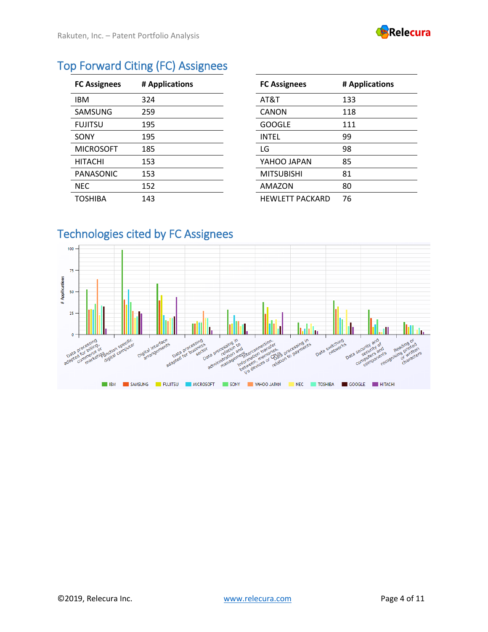

| <b>Top Forward Citing (FC) Assignees</b> |  |  |  |
|------------------------------------------|--|--|--|
|------------------------------------------|--|--|--|

| <b>FC Assignees</b> | # Applications | <b>FC Assignees</b>    | # Applications |
|---------------------|----------------|------------------------|----------------|
| <b>IBM</b>          | 324            | AT&T                   | 133            |
| SAMSUNG             | 259            | <b>CANON</b>           | 118            |
| <b>FUJITSU</b>      | 195            | <b>GOOGLE</b>          | 111            |
| SONY                | 195            | <b>INTEL</b>           | 99             |
| <b>MICROSOFT</b>    | 185            | LG                     | 98             |
| <b>HITACHI</b>      | 153            | YAHOO JAPAN            | 85             |
| PANASONIC           | 153            | <b>MITSUBISHI</b>      | 81             |
| <b>NEC</b>          | 152            | AMAZON                 | 80             |
| <b>TOSHIBA</b>      | 143            | <b>HEWLETT PACKARD</b> | 76             |

| <b>FC Assignees</b>    | # Applications |
|------------------------|----------------|
| AT&T                   | 133            |
| CANON                  | 118            |
| <b>GOOGLE</b>          | 111            |
| INTEL                  | 99             |
| LG                     | 98             |
| YAHOO JAPAN            | 85             |
| <b>MITSUBISHI</b>      | 81             |
| AMAZON                 | 80             |
| <b>HEWLETT PACKARD</b> | 76             |

# Technologies cited by FC Assignees

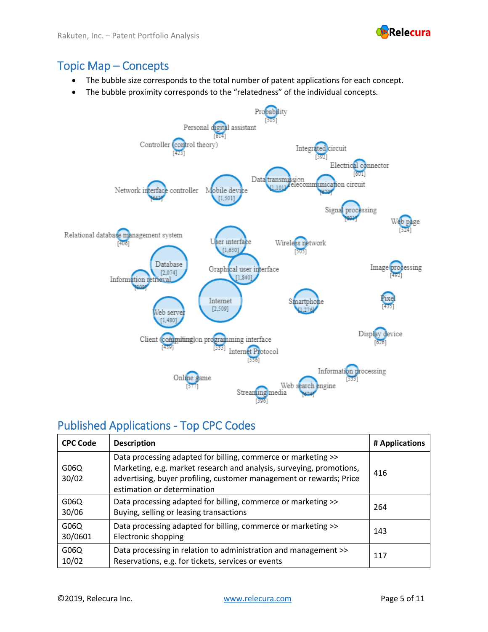

#### Topic Map – Concepts

- The bubble size corresponds to the total number of patent applications for each concept.
- The bubble proximity corresponds to the "relatedness" of the individual concepts.



#### Published Applications - Top CPC Codes

| <b>CPC Code</b> | <b>Description</b>                                                                                                                                                                                                                          | # Applications |
|-----------------|---------------------------------------------------------------------------------------------------------------------------------------------------------------------------------------------------------------------------------------------|----------------|
| G06Q<br>30/02   | Data processing adapted for billing, commerce or marketing >><br>Marketing, e.g. market research and analysis, surveying, promotions,<br>advertising, buyer profiling, customer management or rewards; Price<br>estimation or determination | 416            |
| G06Q<br>30/06   | Data processing adapted for billing, commerce or marketing >><br>Buying, selling or leasing transactions                                                                                                                                    | 264            |
| G06Q<br>30/0601 | Data processing adapted for billing, commerce or marketing >><br>Electronic shopping                                                                                                                                                        | 143            |
| G06Q<br>10/02   | Data processing in relation to administration and management >><br>Reservations, e.g. for tickets, services or events                                                                                                                       | 117            |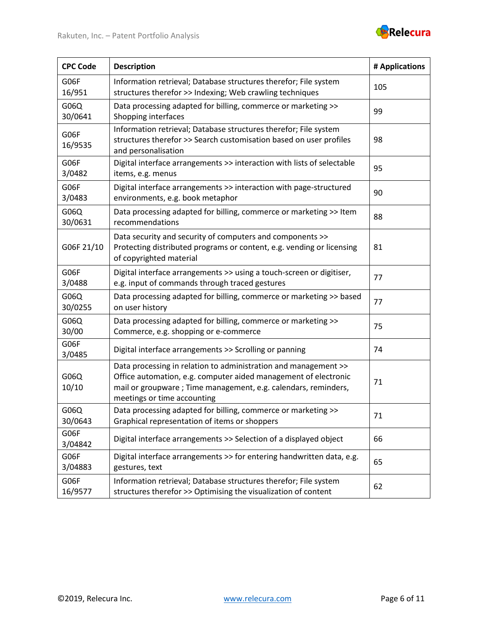

| <b>CPC Code</b> | <b>Description</b>                                                                                                                                                                                                                  | # Applications |
|-----------------|-------------------------------------------------------------------------------------------------------------------------------------------------------------------------------------------------------------------------------------|----------------|
| G06F<br>16/951  | Information retrieval; Database structures therefor; File system<br>structures therefor >> Indexing; Web crawling techniques                                                                                                        | 105            |
| G06Q<br>30/0641 | Data processing adapted for billing, commerce or marketing >><br>Shopping interfaces                                                                                                                                                | 99             |
| G06F<br>16/9535 | Information retrieval; Database structures therefor; File system<br>structures therefor >> Search customisation based on user profiles<br>and personalisation                                                                       | 98             |
| G06F<br>3/0482  | Digital interface arrangements >> interaction with lists of selectable<br>items, e.g. menus                                                                                                                                         | 95             |
| G06F<br>3/0483  | Digital interface arrangements >> interaction with page-structured<br>environments, e.g. book metaphor                                                                                                                              | 90             |
| G06Q<br>30/0631 | Data processing adapted for billing, commerce or marketing >> Item<br>recommendations                                                                                                                                               | 88             |
| G06F 21/10      | Data security and security of computers and components >><br>Protecting distributed programs or content, e.g. vending or licensing<br>of copyrighted material                                                                       | 81             |
| G06F<br>3/0488  | Digital interface arrangements >> using a touch-screen or digitiser,<br>e.g. input of commands through traced gestures                                                                                                              | 77             |
| G06Q<br>30/0255 | Data processing adapted for billing, commerce or marketing >> based<br>on user history                                                                                                                                              | 77             |
| G06Q<br>30/00   | Data processing adapted for billing, commerce or marketing >><br>Commerce, e.g. shopping or e-commerce                                                                                                                              | 75             |
| G06F<br>3/0485  | Digital interface arrangements >> Scrolling or panning                                                                                                                                                                              | 74             |
| G06Q<br>10/10   | Data processing in relation to administration and management >><br>Office automation, e.g. computer aided management of electronic<br>mail or groupware; Time management, e.g. calendars, reminders,<br>meetings or time accounting | 71             |
| G06Q<br>30/0643 | Data processing adapted for billing, commerce or marketing >><br>Graphical representation of items or shoppers                                                                                                                      | 71             |
| G06F<br>3/04842 | Digital interface arrangements >> Selection of a displayed object                                                                                                                                                                   | 66             |
| G06F<br>3/04883 | Digital interface arrangements >> for entering handwritten data, e.g.<br>gestures, text                                                                                                                                             | 65             |
| G06F<br>16/9577 | Information retrieval; Database structures therefor; File system<br>structures therefor >> Optimising the visualization of content                                                                                                  | 62             |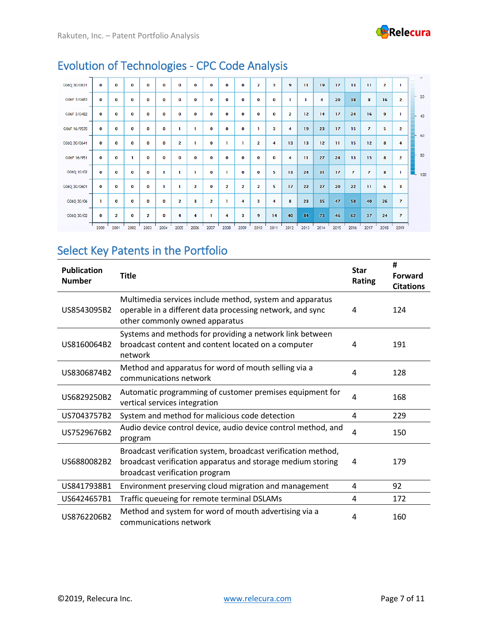

| G06Q 30/0631 | $\bf{o}$     | $\mathbf{o}$            | 0            | o              | O           | $\bf o$        | $\bf{o}$       | 0              | $\bf{0}$                | $\bf{0}$                | 2              | 3            | 9              | $\mathbf{u}$ | 19   | 17           | 13             | $\mathbf{H}$   | $\overline{\mathbf{z}}$ | ı              |                    |
|--------------|--------------|-------------------------|--------------|----------------|-------------|----------------|----------------|----------------|-------------------------|-------------------------|----------------|--------------|----------------|--------------|------|--------------|----------------|----------------|-------------------------|----------------|--------------------|
| G06F 3/0483  | $\bf{o}$     | O                       | $\mathbf{o}$ | $\bf{o}$       | 0           | $\mathbf 0$    | $\bf{0}$       | $\mathbf{o}$   | $\bf{0}$                | $\mathbf 0$             | o              | $\bf{0}$     | n              |              | 4    | 20           | 38             | 8              | 16                      | $\overline{2}$ | $-20$              |
| G06F 3/0482  | $\mathbf 0$  | $\Omega$                | $\mathbf{o}$ | $\bf o$        | $\mathbf 0$ | $\mathbf 0$    | $\mathbf 0$    | o              | $\mathbf 0$             | $\mathbf 0$             | $\mathbf 0$    | $\mathbf 0$  | $\overline{2}$ | 12           | 14   | 17           | 24             | 16             | 9                       | ı              | 40                 |
| G06F 16/9535 | $\mathbf 0$  | $\mathbf 0$             | $\mathbf 0$  | $\bf o$        | $\mathbf 0$ | п              | ı              | $\mathbf 0$    | $\mathbf 0$             | $\mathbf 0$             | ı              | з            | 4              | 19           | 23   | 17           | 15             | $\overline{7}$ | 5                       | $\overline{2}$ |                    |
| G06Q 30/0641 | $\bf{0}$     | $\bf{o}$                | $\mathbf{o}$ | $\bf{0}$       | o           | $\overline{2}$ | ı              | $\bf{0}$       | п                       | ı.                      | $\overline{2}$ | 4            | 13             | 13           | 12   | $\mathbf{H}$ | 15             | 12             | 8                       | 4              | 60                 |
| G06F 16/951  | $\mathbf{o}$ | $\mathbf{o}$            |              | $\bf{0}$       | o           | $\mathbf 0$    | $\bf{0}$       | 0              | $\bf{0}$                | o                       | 0              | $\mathbf{o}$ | 4              | $\mathbf{H}$ | 27   | 24           | 13             | 15             | 8                       | $\overline{2}$ | 80                 |
| G06Q 10/02   | $\bf{0}$     | $\bf{o}$                | $\bf{0}$     | $\bf{o}$       | ٦           | n              | п              | $\mathbf{o}$   |                         | $\mathbf 0$             | $\bf o$        | 5            | 13             | 24           | 31   | 17           | $\overline{7}$ | $\overline{7}$ | 8                       | ı              | $\blacksquare$ 100 |
| G06Q 30/0601 | $\mathbf 0$  | $\mathbf 0$             | $\bf{0}$     | $\bf o$        | ı           | п              | $\overline{2}$ | $\mathbf 0$    | $\overline{\mathbf{2}}$ | $\overline{\mathbf{2}}$ | $\overline{2}$ | 5            | 17             | 22           | 27   | 20           | 22             | $\mathbf{H}$   | 6                       | 3              |                    |
| G06Q 30/06   | п            | $\Omega$                | $\Omega$     | $\bf{0}$       | $\Omega$    | $\overline{2}$ | з              | $\overline{2}$ |                         | 4                       | з              | 4            | 8              | 23           | 35   | 47           | 58             | 40             | 26                      | $\overline{7}$ |                    |
| G06Q 30/02   | $\bf{0}$     | $\overline{\mathbf{2}}$ | $\Omega$     | $\overline{2}$ | o           | 4              | 4              | п              | 4                       | 3                       | 9              | 14           | 40             | 84           | 73   | 46           | 62             | 37             | 24                      | $\overline{7}$ |                    |
|              | 2000         | 2001                    | 2002         | 2003           | 2004        | 2005           | 2006           | 2007           | 2008                    | 2009                    | 2010           | 2011         | 2012           | 2013         | 2014 | 2015         | 2016           | 2017           | 2018                    | 2019           |                    |

# Evolution of Technologies - CPC Code Analysis

### Select Key Patents in the Portfolio

| <b>Publication</b><br><b>Number</b> | <b>Title</b>                                                                                                                                                   | <b>Star</b><br><b>Rating</b> | #<br><b>Forward</b><br><b>Citations</b> |
|-------------------------------------|----------------------------------------------------------------------------------------------------------------------------------------------------------------|------------------------------|-----------------------------------------|
| US8543095B2                         | Multimedia services include method, system and apparatus<br>operable in a different data processing network, and sync<br>other commonly owned apparatus        | 4                            | 124                                     |
| US8160064B2                         | Systems and methods for providing a network link between<br>broadcast content and content located on a computer<br>network                                     | 4                            | 191                                     |
| US8306874B2                         | Method and apparatus for word of mouth selling via a<br>communications network                                                                                 | 4                            | 128                                     |
| US6829250B2                         | Automatic programming of customer premises equipment for<br>vertical services integration                                                                      | 4                            | 168                                     |
| US7043757B2                         | System and method for malicious code detection                                                                                                                 | 4                            | 229                                     |
| US7529676B2                         | Audio device control device, audio device control method, and<br>program                                                                                       | 4                            | 150                                     |
| US6880082B2                         | Broadcast verification system, broadcast verification method,<br>broadcast verification apparatus and storage medium storing<br>broadcast verification program | 4                            | 179                                     |
| US8417938B1                         | Environment preserving cloud migration and management                                                                                                          | 4                            | 92                                      |
| US6424657B1                         | Traffic queueing for remote terminal DSLAMs                                                                                                                    | 4                            | 172                                     |
| US8762206B2                         | Method and system for word of mouth advertising via a<br>communications network                                                                                | 4                            | 160                                     |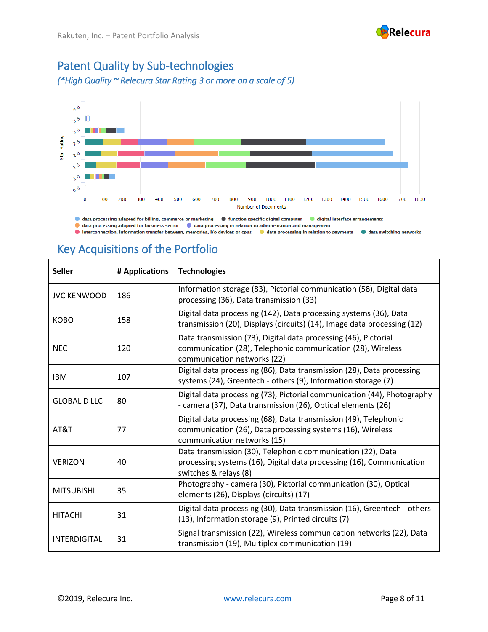

# Patent Quality by Sub-technologies

*(\*High Quality ~ Relecura Star Rating 3 or more on a scale of 5)*



I data processing adapted for business sector I data processing in relation to administration and management

Interconnection, information transfer between, memories, i/o devices or cpus Integrata processing in relation to payments Integration that a switching networks

# Key Acquisitions of the Portfolio

| <b>Seller</b>       | # Applications | <b>Technologies</b>                                                                                                                                           |
|---------------------|----------------|---------------------------------------------------------------------------------------------------------------------------------------------------------------|
| <b>JVC KENWOOD</b>  | 186            | Information storage (83), Pictorial communication (58), Digital data<br>processing (36), Data transmission (33)                                               |
| <b>KOBO</b>         | 158            | Digital data processing (142), Data processing systems (36), Data<br>transmission (20), Displays (circuits) (14), Image data processing (12)                  |
| <b>NEC</b>          | 120            | Data transmission (73), Digital data processing (46), Pictorial<br>communication (28), Telephonic communication (28), Wireless<br>communication networks (22) |
| <b>IBM</b>          | 107            | Digital data processing (86), Data transmission (28), Data processing<br>systems (24), Greentech - others (9), Information storage (7)                        |
| <b>GLOBAL D LLC</b> | 80             | Digital data processing (73), Pictorial communication (44), Photography<br>- camera (37), Data transmission (26), Optical elements (26)                       |
| AT&T                | 77             | Digital data processing (68), Data transmission (49), Telephonic<br>communication (26), Data processing systems (16), Wireless<br>communication networks (15) |
| <b>VERIZON</b>      | 40             | Data transmission (30), Telephonic communication (22), Data<br>processing systems (16), Digital data processing (16), Communication<br>switches & relays (8)  |
| <b>MITSUBISHI</b>   | 35             | Photography - camera (30), Pictorial communication (30), Optical<br>elements (26), Displays (circuits) (17)                                                   |
| <b>HITACHI</b>      | 31             | Digital data processing (30), Data transmission (16), Greentech - others<br>(13), Information storage (9), Printed circuits (7)                               |
| INTERDIGITAL        | 31             | Signal transmission (22), Wireless communication networks (22), Data<br>transmission (19), Multiplex communication (19)                                       |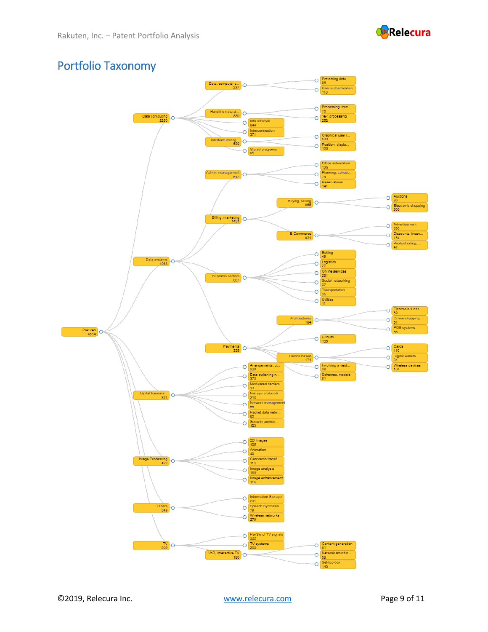

#### Portfolio Taxonomy

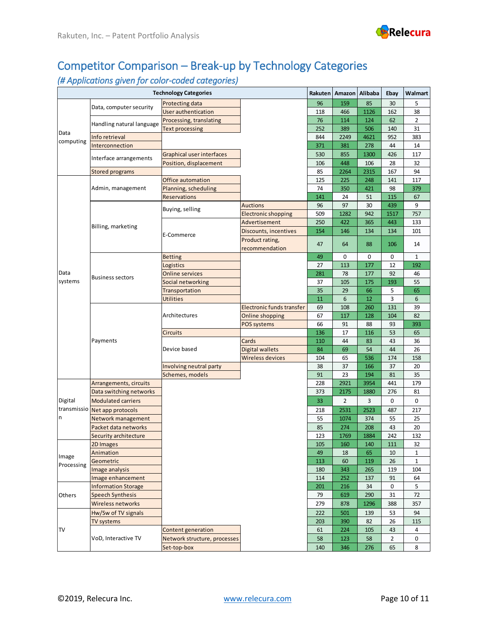

# Competitor Comparison – Break-up by Technology Categories

#### *(# Applications given for color-coded categories)*

|                   |                            | <b>Technology Categories</b> |                            | Rakuten | Amazon         | Alibaba | Ebay           | Walmart      |
|-------------------|----------------------------|------------------------------|----------------------------|---------|----------------|---------|----------------|--------------|
|                   | Data, computer security    | Protecting data              |                            | 96      | 159            | 85      | 30             | 5            |
|                   |                            | User authentication          | 118                        | 466     | 1126           | 162     | 38             |              |
|                   | Handling natural language  | Processing, translating      | 76                         | 114     | 124            | 62      | $\overline{2}$ |              |
|                   |                            | <b>Text processing</b>       | 252                        | 389     | 506            | 140     | 31             |              |
| Data<br>computing | Info retrieval             |                              |                            | 844     | 2249           | 4621    | 952            | 383          |
|                   | Interconnection            |                              |                            | 371     | 381            | 278     | 44             | 14           |
|                   |                            | Graphical user interfaces    |                            | 530     | 855            | 1300    | 426            | 117          |
|                   | Interface arrangements     | Position, displacement       |                            | 106     | 448            | 106     | 28             | 32           |
|                   | <b>Stored programs</b>     |                              |                            | 85      | 2264           | 2315    | 167            | 94           |
|                   |                            | Office automation            |                            | 125     | 225            | 248     | 141            | 117          |
|                   | Admin, management          | Planning, scheduling         |                            | 74      | 350            | 421     | 98             | 379          |
|                   |                            | <b>Reservations</b>          |                            | 141     | 24             | 51      | 115            | 67           |
|                   |                            |                              | <b>Auctions</b>            | 96      | 97             | 30      | 439            | 9            |
|                   |                            | Buying, selling              | <b>Electronic shopping</b> | 509     | 1282           | 942     | 1517           | 757          |
|                   |                            |                              | Advertisement              | 250     | 422            | 365     | 443            | 133          |
|                   | Billing, marketing         |                              | Discounts, incentives      | 154     | 146            | 134     | 134            | 101          |
|                   |                            | E-Commerce                   | Product rating,            |         |                |         |                |              |
|                   |                            |                              | recommendation             | 47      | 64             | 88      | 106            | 14           |
|                   |                            | <b>Betting</b>               |                            | 49      | $\mathbf 0$    | 0       | 0              | $\mathbf{1}$ |
|                   |                            | Logistics                    |                            | 27      | 113            | 177     | 12             | 192          |
| Data              | <b>Business sectors</b>    | <b>Online services</b>       |                            | 281     | 78             | 177     | 92             | 46           |
| systems           |                            | Social networking            |                            | 37      | 105            | 175     | 193            | 55           |
|                   |                            | Transportation               |                            | 35      | 29             | 66      | 5              | 65           |
|                   |                            | <b>Utilities</b>             |                            | 11      | 6              | 12      | 3              | 6            |
|                   | Payments                   |                              | Electronic funds transfer  | 69      | 108            | 260     | 131            | 39           |
|                   |                            | Architectures                | Online shopping            | 67      | 117            | 128     | 104            | 82           |
|                   |                            |                              | POS systems                | 66      | 91             | 88      | 93             | 393          |
|                   |                            | <b>Circuits</b>              |                            | 136     | 17             | 116     | 53             | 65           |
|                   |                            |                              | Cards                      | 110     | 44             | 83      | 43             | 36           |
|                   |                            | Device based                 | <b>Digital wallets</b>     | 84      | 69             | 54      | 44             | 26           |
|                   |                            |                              | Wireless devices           | 104     | 65             | 536     | 174            | 158          |
|                   |                            | Involving neutral party      |                            | 38      | 37             | 166     | 37             | 20           |
|                   |                            | Schemes, models              |                            | 91      | 23             | 194     | 81             | 35           |
|                   | Arrangements, circuits     |                              |                            | 228     | 2921           | 3954    | 441            | 179          |
|                   | Data switching networks    |                              |                            | 373     | 2175           | 1880    | 276            | 81           |
| Digital           | <b>Modulated carriers</b>  |                              |                            | 33      | $\overline{2}$ | 3       | 0              | $\mathbf 0$  |
| transmissio       | Net app protocols          |                              |                            | 218     | 2531           | 2523    | 487            | 217          |
| n                 | Network management         |                              |                            | 55      | 1074           | 374     | 55             | 25           |
|                   | Packet data networks       |                              |                            | 85      | 274            | 208     | 43             | 20           |
|                   | Security architecture      |                              |                            | 123     | 1769           | 1884    | 242            | 132          |
|                   | 2D Images                  |                              |                            | 105     | 160            | 140     | 111            | 32           |
|                   | Animation                  |                              |                            | 49      | 18             | 65      | 10             | 1            |
| Image             | Geometric                  |                              |                            | 113     | 60             | 119     | 26             | 1            |
| Processing        | Image analysis             |                              |                            | 180     | 343            | 265     | 119            | 104          |
|                   | Image enhancement          |                              |                            | 114     | 252            | 137     | 91             | 64           |
|                   | <b>Information Storage</b> |                              |                            | 201     | 216            | 34      | 0              | 5            |
| Others            | <b>Speech Synthesis</b>    |                              |                            | 79      | 619            | 290     | 31             | 72           |
|                   | Wireless networks          |                              |                            | 279     | 878            | 1296    | 388            | 357          |
|                   | Hw/Sw of TV signals        |                              |                            | 222     | 501            | 139     | 53             | 94           |
|                   | TV systems                 |                              |                            | 203     | 390            | 82      | 26             | 115          |
| TV                |                            | Content generation           |                            | 61      | 224            | 105     | 43             | 4            |
|                   | VoD, Interactive TV        | Network structure, processes |                            | 58      | 123            | 58      | $\overline{2}$ | 0            |
|                   |                            | Set-top-box                  |                            | 140     | 346            | 276     | 65             | 8            |